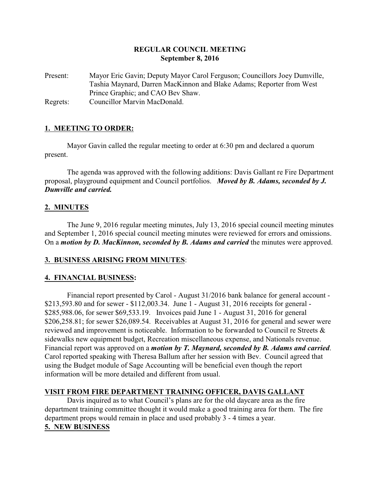# **REGULAR COUNCIL MEETING September 8, 2016**

Present: Mayor Eric Gavin; Deputy Mayor Carol Ferguson; Councillors Joey Dumville, Tashia Maynard, Darren MacKinnon and Blake Adams; Reporter from West Prince Graphic; and CAO Bev Shaw. Regrets: Councillor Marvin MacDonald.

# **1. MEETING TO ORDER:**

Mayor Gavin called the regular meeting to order at 6:30 pm and declared a quorum present.

The agenda was approved with the following additions: Davis Gallant re Fire Department proposal, playground equipment and Council portfolios. *Moved by B. Adams, seconded by J. Dumville and carried.*

### **2. MINUTES**

The June 9, 2016 regular meeting minutes, July 13, 2016 special council meeting minutes and September 1, 2016 special council meeting minutes were reviewed for errors and omissions. On a *motion by D. MacKinnon, seconded by B. Adams and carried* the minutes were approved.

#### **3. BUSINESS ARISING FROM MINUTES**:

#### **4. FINANCIAL BUSINESS:**

Financial report presented by Carol - August 31/2016 bank balance for general account - \$213,593.80 and for sewer - \$112,003.34. June 1 - August 31, 2016 receipts for general - \$285,988.06, for sewer \$69,533.19. Invoices paid June 1 - August 31, 2016 for general \$206,258.81; for sewer \$26,089.54. Receivables at August 31, 2016 for general and sewer were reviewed and improvement is noticeable. Information to be forwarded to Council re Streets & sidewalks new equipment budget, Recreation miscellaneous expense, and Nationals revenue. Financial report was approved on a *motion by T. Maynard, seconded by B. Adams and carried*. Carol reported speaking with Theresa Ballum after her session with Bev. Council agreed that using the Budget module of Sage Accounting will be beneficial even though the report information will be more detailed and different from usual.

### **VISIT FROM FIRE DEPARTMENT TRAINING OFFICER, DAVIS GALLANT**

Davis inquired as to what Council's plans are for the old daycare area as the fire department training committee thought it would make a good training area for them. The fire department props would remain in place and used probably 3 - 4 times a year. **5. NEW BUSINESS**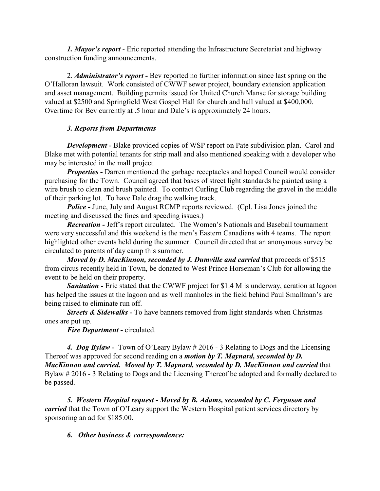*1. Mayor's report* - Eric reported attending the Infrastructure Secretariat and highway construction funding announcements.

2. *Administrator's report -* Bev reported no further information since last spring on the O'Halloran lawsuit. Work consisted of CWWF sewer project, boundary extension application and asset management. Building permits issued for United Church Manse for storage building valued at \$2500 and Springfield West Gospel Hall for church and hall valued at \$400,000. Overtime for Bev currently at .5 hour and Dale's is approximately 24 hours.

## *3. Reports from Departments*

*Development* - Blake provided copies of WSP report on Pate subdivision plan. Carol and Blake met with potential tenants for strip mall and also mentioned speaking with a developer who may be interested in the mall project.

*Properties -* Darren mentioned the garbage receptacles and hoped Council would consider purchasing for the Town. Council agreed that bases of street light standards be painted using a wire brush to clean and brush painted. To contact Curling Club regarding the gravel in the middle of their parking lot. To have Dale drag the walking track.

**Police - June, July and August RCMP reports reviewed.** (Cpl. Lisa Jones joined the meeting and discussed the fines and speeding issues.)

*Recreation -* Jeff's report circulated. The Women's Nationals and Baseball tournament were very successful and this weekend is the men's Eastern Canadians with 4 teams. The report highlighted other events held during the summer. Council directed that an anonymous survey be circulated to parents of day camp this summer.

*Moved by D. MacKinnon, seconded by J. Dumville and carried that proceeds of \$515* from circus recently held in Town, be donated to West Prince Horseman's Club for allowing the event to be held on their property.

**Sanitation -** Eric stated that the CWWF project for \$1.4 M is underway, aeration at lagoon has helped the issues at the lagoon and as well manholes in the field behind Paul Smallman's are being raised to eliminate run off.

*Streets & Sidewalks -* To have banners removed from light standards when Christmas ones are put up.

*Fire Department -* circulated.

*4. Dog Bylaw -* Town of O'Leary Bylaw # 2016 - 3 Relating to Dogs and the Licensing Thereof was approved for second reading on a *motion by T. Maynard, seconded by D. MacKinnon and carried. Moved by T. Maynard, seconded by D. MacKinnon and carried that* Bylaw # 2016 - 3 Relating to Dogs and the Licensing Thereof be adopted and formally declared to be passed.

*5. Western Hospital request - Moved by B. Adams, seconded by C. Ferguson and carried* that the Town of O'Leary support the Western Hospital patient services directory by sponsoring an ad for \$185.00.

### *6. Other business & correspondence:*